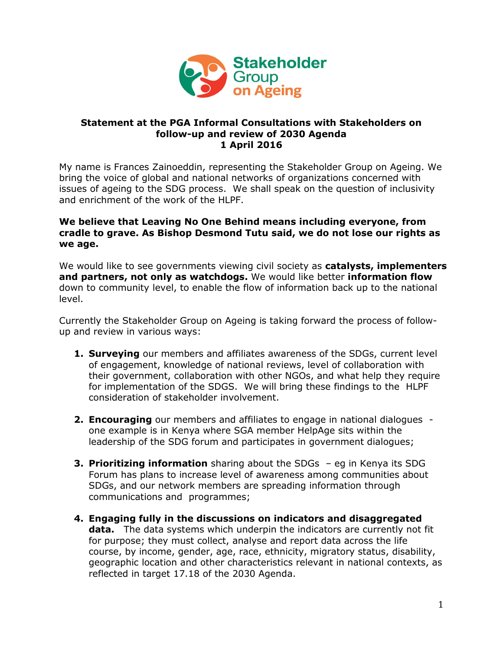

## **Statement at the PGA Informal Consultations with Stakeholders on follow-up and review of 2030 Agenda 1 April 2016**

My name is Frances Zainoeddin, representing the Stakeholder Group on Ageing. We bring the voice of global and national networks of organizations concerned with issues of ageing to the SDG process. We shall speak on the question of inclusivity and enrichment of the work of the HLPF.

## **We believe that Leaving No One Behind means including everyone, from cradle to grave. As Bishop Desmond Tutu said, we do not lose our rights as we age.**

We would like to see governments viewing civil society as **catalysts, implementers and partners, not only as watchdogs.** We would like better **information flow** down to community level, to enable the flow of information back up to the national level.

Currently the Stakeholder Group on Ageing is taking forward the process of followup and review in various ways:

- **1. Surveying** our members and affiliates awareness of the SDGs, current level of engagement, knowledge of national reviews, level of collaboration with their government, collaboration with other NGOs, and what help they require for implementation of the SDGS. We will bring these findings to the HLPF consideration of stakeholder involvement.
- **2. Encouraging** our members and affiliates to engage in national dialogues one example is in Kenya where SGA member HelpAge sits within the leadership of the SDG forum and participates in government dialogues;
- **3. Prioritizing information** sharing about the SDGs eg in Kenya its SDG Forum has plans to increase level of awareness among communities about SDGs, and our network members are spreading information through communications and programmes;
- **4. Engaging fully in the discussions on indicators and disaggregated data.** The data systems which underpin the indicators are currently not fit for purpose; they must collect, analyse and report data across the life course, by income, gender, age, race, ethnicity, migratory status, disability, geographic location and other characteristics relevant in national contexts, as reflected in target 17.18 of the 2030 Agenda.